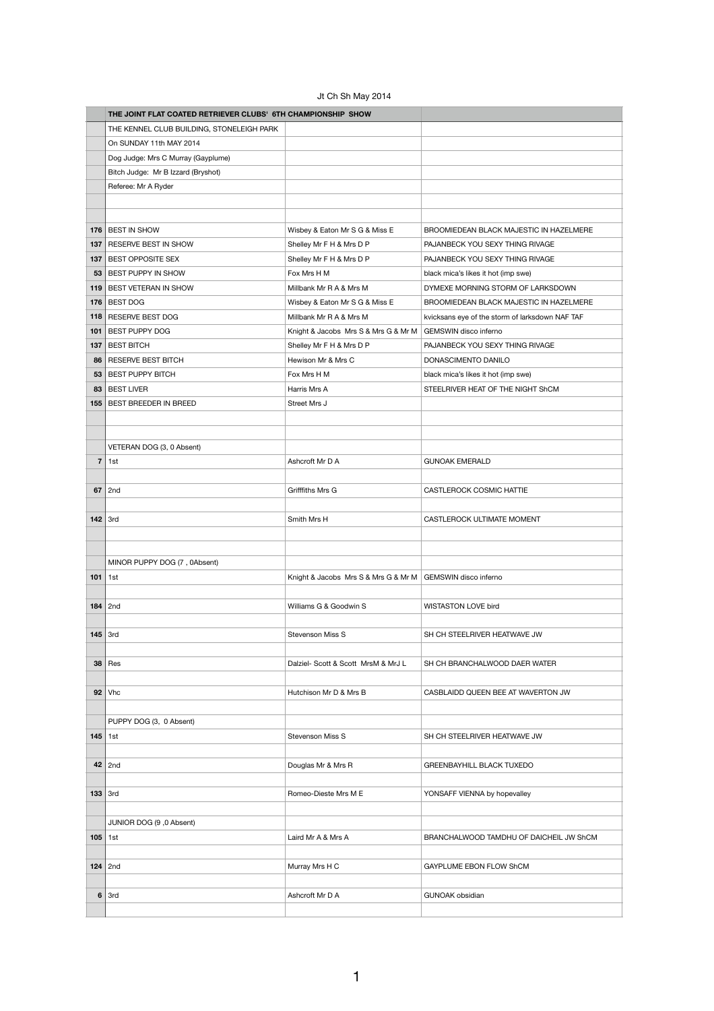## Jt Ch Sh May 2014

|                         | THE JOINT FLAT COATED RETRIEVER CLUBS' 6TH CHAMPIONSHIP SHOW |                                      |                                                 |
|-------------------------|--------------------------------------------------------------|--------------------------------------|-------------------------------------------------|
|                         | THE KENNEL CLUB BUILDING, STONELEIGH PARK                    |                                      |                                                 |
|                         | On SUNDAY 11th MAY 2014                                      |                                      |                                                 |
|                         | Dog Judge: Mrs C Murray (Gayplume)                           |                                      |                                                 |
|                         | Bitch Judge: Mr B Izzard (Bryshot)                           |                                      |                                                 |
|                         | Referee: Mr A Ryder                                          |                                      |                                                 |
|                         |                                                              |                                      |                                                 |
|                         |                                                              |                                      |                                                 |
|                         | 176 BEST IN SHOW                                             | Wisbey & Eaton Mr S G & Miss E       | BROOMIEDEAN BLACK MAJESTIC IN HAZELMERE         |
| 137                     | RESERVE BEST IN SHOW                                         | Shelley Mr F H & Mrs D P             | PAJANBECK YOU SEXY THING RIVAGE                 |
|                         | 137 BEST OPPOSITE SEX                                        | Shelley Mr F H & Mrs D P             | PAJANBECK YOU SEXY THING RIVAGE                 |
|                         | 53   BEST PUPPY IN SHOW                                      | Fox Mrs H M                          | black mica's likes it hot (imp swe)             |
|                         | 119   BEST VETERAN IN SHOW                                   | Millbank Mr R A & Mrs M              | DYMEXE MORNING STORM OF LARKSDOWN               |
|                         | 176 BEST DOG                                                 | Wisbey & Eaton Mr S G & Miss E       | BROOMIEDEAN BLACK MAJESTIC IN HAZELMERE         |
|                         | 118 RESERVE BEST DOG                                         | Millbank Mr R A & Mrs M              | kvicksans eye of the storm of larksdown NAF TAF |
| 101                     | <b>BEST PUPPY DOG</b>                                        | Knight & Jacobs Mrs S & Mrs G & Mr M | GEMSWIN disco inferno                           |
| 137                     | <b>BEST BITCH</b>                                            | Shelley Mr F H & Mrs D P             | PAJANBECK YOU SEXY THING RIVAGE                 |
| 86                      | RESERVE BEST BITCH                                           | Hewison Mr & Mrs C                   | DONASCIMENTO DANILO                             |
|                         | 53   BEST PUPPY BITCH                                        | Fox Mrs H M                          | black mica's likes it hot (imp swe)             |
|                         | 83 BEST LIVER                                                | Harris Mrs A                         | STEELRIVER HEAT OF THE NIGHT ShCM               |
|                         | 155   BEST BREEDER IN BREED                                  | Street Mrs J                         |                                                 |
|                         |                                                              |                                      |                                                 |
|                         |                                                              |                                      |                                                 |
|                         |                                                              |                                      |                                                 |
|                         | VETERAN DOG (3, 0 Absent)                                    | Ashcroft Mr D A                      |                                                 |
| $\overline{\mathbf{r}}$ | 1st                                                          |                                      | <b>GUNOAK EMERALD</b>                           |
| 67                      | 2nd                                                          | Grifffiths Mrs G                     | CASTLEROCK COSMIC HATTIE                        |
|                         |                                                              |                                      |                                                 |
| 142                     | 3rd                                                          | Smith Mrs H                          | CASTLEROCK ULTIMATE MOMENT                      |
|                         |                                                              |                                      |                                                 |
|                         |                                                              |                                      |                                                 |
|                         | MINOR PUPPY DOG (7, 0Absent)                                 |                                      |                                                 |
| 101                     | 1st                                                          | Knight & Jacobs Mrs S & Mrs G & Mr M | GEMSWIN disco inferno                           |
|                         |                                                              |                                      |                                                 |
|                         | $184$ 2nd                                                    | Williams G & Goodwin S               | WISTASTON LOVE bird                             |
|                         |                                                              |                                      |                                                 |
| $145$ 3rd               |                                                              | Stevenson Miss S                     | SH CH STEELRIVER HEATWAVE JW                    |
|                         |                                                              |                                      |                                                 |
| 38                      | Res                                                          | Dalziel- Scott & Scott MrsM & MrJ L  | SH CH BRANCHALWOOD DAER WATER                   |
|                         |                                                              |                                      |                                                 |
| 92                      | Vhc                                                          | Hutchison Mr D & Mrs B               | CASBLAIDD QUEEN BEE AT WAVERTON JW              |
|                         |                                                              |                                      |                                                 |
|                         | PUPPY DOG (3, 0 Absent)                                      |                                      |                                                 |
| $145$ 1st               |                                                              | Stevenson Miss S                     | SH CH STEELRIVER HEATWAVE JW                    |
|                         |                                                              |                                      |                                                 |
|                         | $42$   2nd                                                   | Douglas Mr & Mrs R                   | GREENBAYHILL BLACK TUXEDO                       |
|                         |                                                              |                                      |                                                 |
| $133$ 3rd               |                                                              | Romeo-Dieste Mrs M E                 | YONSAFF VIENNA by hopevalley                    |
|                         |                                                              |                                      |                                                 |
|                         | JUNIOR DOG (9, 0 Absent)                                     |                                      |                                                 |
| $105$ 1st               |                                                              | Laird Mr A & Mrs A                   | BRANCHALWOOD TAMDHU OF DAICHEIL JW ShCM         |
|                         |                                                              |                                      |                                                 |
|                         | $124$ 2nd                                                    | Murray Mrs H C                       | GAYPLUME EBON FLOW ShCM                         |
|                         |                                                              |                                      |                                                 |
| 6                       | 3rd                                                          | Ashcroft Mr D A                      | GUNOAK obsidian                                 |
|                         |                                                              |                                      |                                                 |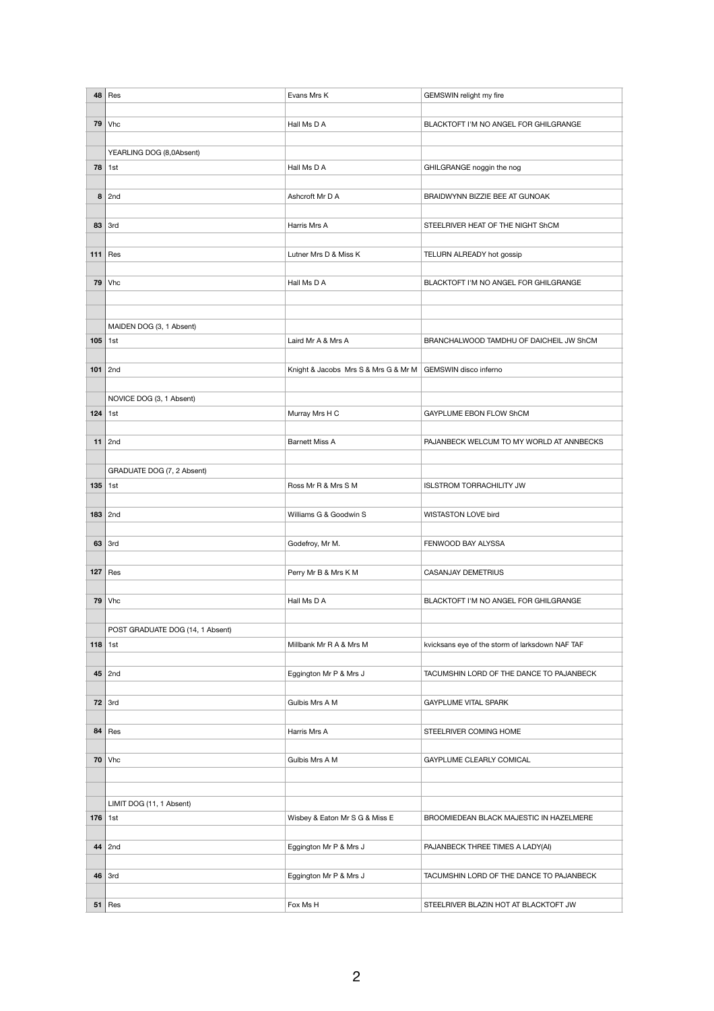| 48        | Res                              | Evans Mrs K                          | GEMSWIN relight my fire                         |
|-----------|----------------------------------|--------------------------------------|-------------------------------------------------|
|           |                                  |                                      |                                                 |
| 79        | Vhc                              | Hall Ms D A                          | BLACKTOFT I'M NO ANGEL FOR GHILGRANGE           |
|           |                                  |                                      |                                                 |
|           |                                  |                                      |                                                 |
|           | YEARLING DOG (8,0Absent)         |                                      |                                                 |
| 78        | 1st                              | Hall Ms D A                          | GHILGRANGE noggin the nog                       |
|           |                                  |                                      |                                                 |
| 8         | 2nd                              | Ashcroft Mr D A                      | BRAIDWYNN BIZZIE BEE AT GUNOAK                  |
|           |                                  |                                      |                                                 |
| 83        | 3rd                              | Harris Mrs A                         | STEELRIVER HEAT OF THE NIGHT ShCM               |
|           |                                  |                                      |                                                 |
| 111       | Res                              | Lutner Mrs D & Miss K                | TELURN ALREADY hot gossip                       |
|           |                                  |                                      |                                                 |
| 79        | <b>Vhc</b>                       | Hall Ms D A                          | BLACKTOFT I'M NO ANGEL FOR GHILGRANGE           |
|           |                                  |                                      |                                                 |
|           |                                  |                                      |                                                 |
|           |                                  |                                      |                                                 |
|           | MAIDEN DOG (3, 1 Absent)         |                                      |                                                 |
| $105$ 1st |                                  | Laird Mr A & Mrs A                   | BRANCHALWOOD TAMDHU OF DAICHEIL JW ShCM         |
|           |                                  |                                      |                                                 |
|           | $101$ 2nd                        | Knight & Jacobs Mrs S & Mrs G & Mr M | GEMSWIN disco inferno                           |
|           |                                  |                                      |                                                 |
|           | NOVICE DOG (3, 1 Absent)         |                                      |                                                 |
| $124$ 1st |                                  | Murray Mrs H C                       | GAYPLUME EBON FLOW ShCM                         |
|           |                                  |                                      |                                                 |
| 11        | 2nd                              | <b>Barnett Miss A</b>                | PAJANBECK WELCUM TO MY WORLD AT ANNBECKS        |
|           |                                  |                                      |                                                 |
|           | GRADUATE DOG (7, 2 Absent)       |                                      |                                                 |
| 135       |                                  |                                      |                                                 |
|           | 1st                              | Ross Mr R & Mrs S M                  | <b>ISLSTROM TORRACHILITY JW</b>                 |
|           |                                  |                                      |                                                 |
|           | $183$ 2nd                        | Williams G & Goodwin S               | WISTASTON LOVE bird                             |
|           |                                  |                                      |                                                 |
| 63        | 3rd                              | Godefroy, Mr M.                      | FENWOOD BAY ALYSSA                              |
|           |                                  |                                      |                                                 |
| 127       | Res                              | Perry Mr B & Mrs K M                 | <b>CASANJAY DEMETRIUS</b>                       |
|           |                                  |                                      |                                                 |
| 79        | <b>Vhc</b>                       | Hall Ms D A                          | BLACKTOFT I'M NO ANGEL FOR GHILGRANGE           |
|           |                                  |                                      |                                                 |
|           | POST GRADUATE DOG (14, 1 Absent) |                                      |                                                 |
| $118$ 1st |                                  | Millbank Mr R A & Mrs M              | kvicksans eye of the storm of larksdown NAF TAF |
|           |                                  |                                      |                                                 |
| 45        | 2nd                              | Eggington Mr P & Mrs J               | TACUMSHIN LORD OF THE DANCE TO PAJANBECK        |
|           |                                  |                                      |                                                 |
| 72        | 3rd                              | Gulbis Mrs A M                       | GAYPLUME VITAL SPARK                            |
|           |                                  |                                      |                                                 |
|           |                                  |                                      |                                                 |
| 84        | Res                              | Harris Mrs A                         | STEELRIVER COMING HOME                          |
|           |                                  |                                      |                                                 |
| 70        | Vhc                              | Gulbis Mrs A M                       | GAYPLUME CLEARLY COMICAL                        |
|           |                                  |                                      |                                                 |
|           |                                  |                                      |                                                 |
|           | LIMIT DOG (11, 1 Absent)         |                                      |                                                 |
| $176$ 1st |                                  | Wisbey & Eaton Mr S G & Miss E       | BROOMIEDEAN BLACK MAJESTIC IN HAZELMERE         |
|           |                                  |                                      |                                                 |
| 44        | 2nd                              | Eggington Mr P & Mrs J               | PAJANBECK THREE TIMES A LADY(AI)                |
|           |                                  |                                      |                                                 |
| 46        | 3rd                              | Eggington Mr P & Mrs J               | TACUMSHIN LORD OF THE DANCE TO PAJANBECK        |
|           |                                  |                                      |                                                 |
|           |                                  |                                      |                                                 |
| 51        | Res                              | Fox Ms H                             | STEELRIVER BLAZIN HOT AT BLACKTOFT JW           |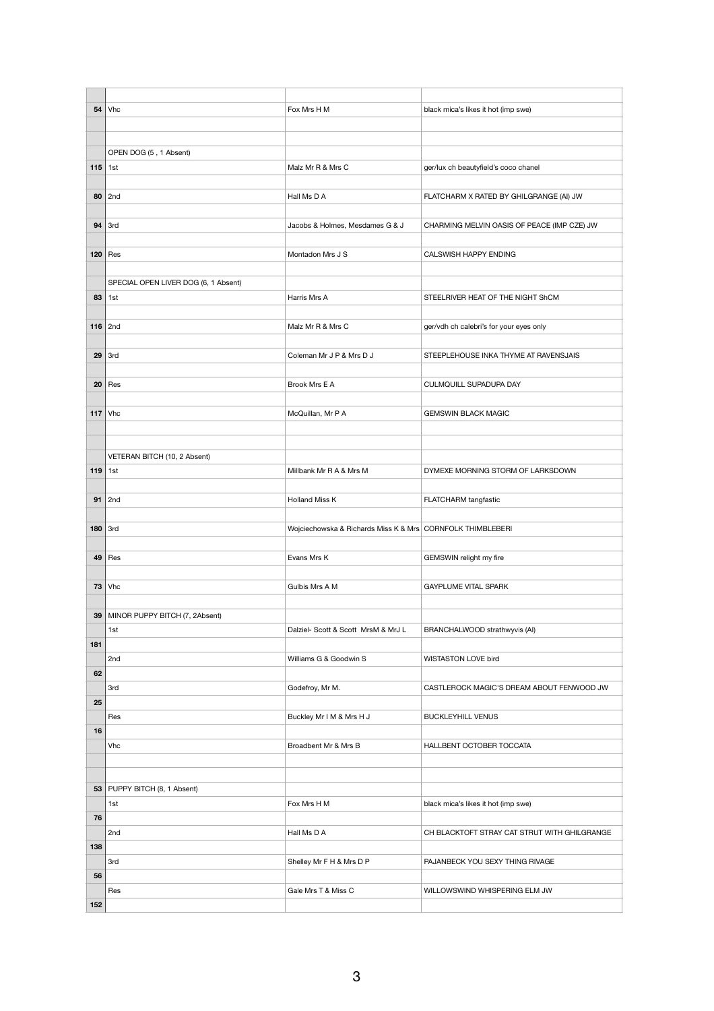| 54        | <b>Vhc</b>                           | Fox Mrs H M                                                | black mica's likes it hot (imp swe)          |
|-----------|--------------------------------------|------------------------------------------------------------|----------------------------------------------|
|           |                                      |                                                            |                                              |
|           |                                      |                                                            |                                              |
|           | OPEN DOG (5, 1 Absent)               |                                                            |                                              |
| 115       | 1st                                  | Malz Mr R & Mrs C                                          | ger/lux ch beautyfield's coco chanel         |
|           |                                      |                                                            |                                              |
| 80        | 2nd                                  | Hall Ms D A                                                | FLATCHARM X RATED BY GHILGRANGE (AI) JW      |
|           |                                      |                                                            |                                              |
| 94        | 3rd                                  | Jacobs & Holmes, Mesdames G & J                            | CHARMING MELVIN OASIS OF PEACE (IMP CZE) JW  |
|           |                                      |                                                            |                                              |
| 120       | Res                                  | Montadon Mrs J S                                           | CALSWISH HAPPY ENDING                        |
|           |                                      |                                                            |                                              |
|           | SPECIAL OPEN LIVER DOG (6, 1 Absent) |                                                            |                                              |
| 83        | 1st                                  | Harris Mrs A                                               | STEELRIVER HEAT OF THE NIGHT ShCM            |
|           |                                      |                                                            |                                              |
|           |                                      |                                                            |                                              |
|           | $116$ 2nd                            | Malz Mr R & Mrs C                                          | ger/vdh ch calebri's for your eyes only      |
|           |                                      |                                                            |                                              |
| 29        | 3rd                                  | Coleman Mr J P & Mrs D J                                   | STEEPLEHOUSE INKA THYME AT RAVENSJAIS        |
|           |                                      |                                                            |                                              |
| 20        | Res                                  | Brook Mrs E A                                              | CULMQUILL SUPADUPA DAY                       |
|           |                                      |                                                            |                                              |
| 117       | <b>Vhc</b>                           | McQuillan, Mr P A                                          | <b>GEMSWIN BLACK MAGIC</b>                   |
|           |                                      |                                                            |                                              |
|           |                                      |                                                            |                                              |
|           | VETERAN BITCH (10, 2 Absent)         |                                                            |                                              |
| $119$ 1st |                                      | Millbank Mr R A & Mrs M                                    | DYMEXE MORNING STORM OF LARKSDOWN            |
|           |                                      |                                                            |                                              |
| 91        | 2nd                                  | <b>Holland Miss K</b>                                      | FLATCHARM tangfastic                         |
|           |                                      |                                                            |                                              |
| 180       | 3rd                                  | Wojciechowska & Richards Miss K & Mrs CORNFOLK THIMBLEBERI |                                              |
|           |                                      |                                                            |                                              |
| 49        | Res                                  | Evans Mrs K                                                | GEMSWIN relight my fire                      |
|           |                                      |                                                            |                                              |
| 73        | <b>Vhc</b>                           | Gulbis Mrs A M                                             | <b>GAYPLUME VITAL SPARK</b>                  |
|           |                                      |                                                            |                                              |
| 39        | MINOR PUPPY BITCH (7, 2Absent)       |                                                            |                                              |
|           | 1st                                  | Dalziel- Scott & Scott MrsM & MrJ L                        | BRANCHALWOOD strathwyvis (AI)                |
| 181       |                                      |                                                            |                                              |
|           | 2nd                                  | Williams G & Goodwin S                                     | WISTASTON LOVE bird                          |
| 62        |                                      |                                                            |                                              |
|           |                                      |                                                            |                                              |
|           | 3rd                                  | Godefroy, Mr M.                                            | CASTLEROCK MAGIC'S DREAM ABOUT FENWOOD JW    |
| 25        |                                      |                                                            |                                              |
|           | Res                                  | Buckley Mr I M & Mrs H J                                   | <b>BUCKLEYHILL VENUS</b>                     |
| 16        |                                      |                                                            |                                              |
|           | Vhc                                  | Broadbent Mr & Mrs B                                       | HALLBENT OCTOBER TOCCATA                     |
|           |                                      |                                                            |                                              |
|           |                                      |                                                            |                                              |
|           | 53   PUPPY BITCH (8, 1 Absent)       |                                                            |                                              |
|           | 1st                                  | Fox Mrs H M                                                | black mica's likes it hot (imp swe)          |
| 76        |                                      |                                                            |                                              |
|           | 2nd                                  | Hall Ms D A                                                | CH BLACKTOFT STRAY CAT STRUT WITH GHILGRANGE |
| 138       |                                      |                                                            |                                              |
|           | 3rd                                  | Shelley Mr F H & Mrs D P                                   | PAJANBECK YOU SEXY THING RIVAGE              |
| 56        |                                      |                                                            |                                              |
|           | Res                                  | Gale Mrs T & Miss C                                        | WILLOWSWIND WHISPERING ELM JW                |
| 152       |                                      |                                                            |                                              |
|           |                                      |                                                            |                                              |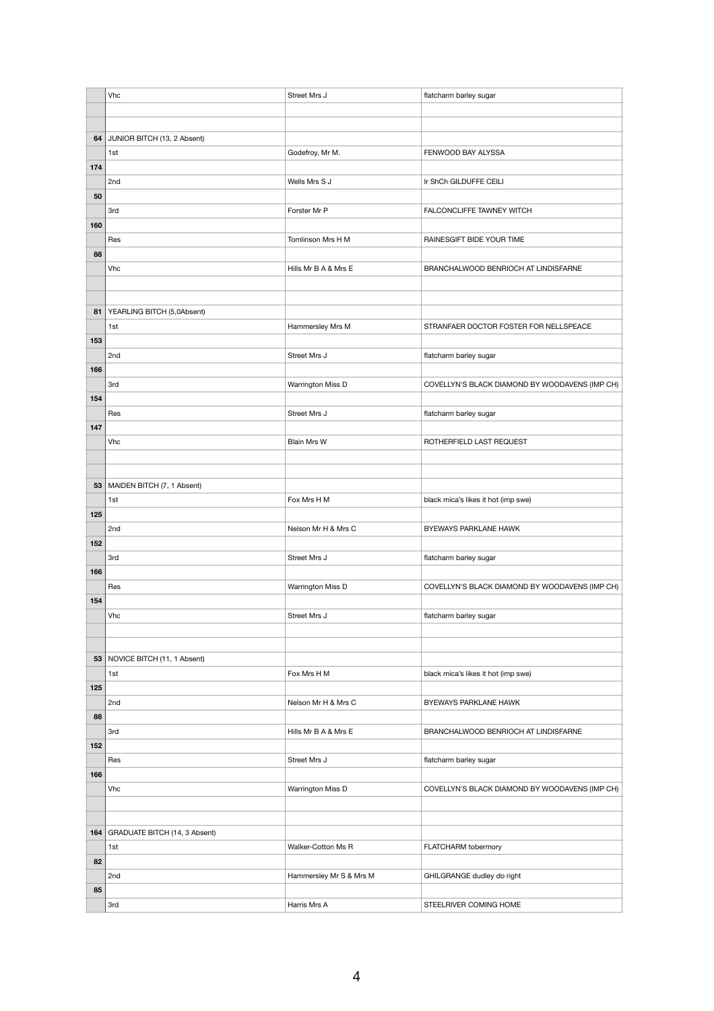|     | Vhc                           | Street Mrs J            | flatcharm barley sugar                         |
|-----|-------------------------------|-------------------------|------------------------------------------------|
|     |                               |                         |                                                |
|     |                               |                         |                                                |
| 64  | JUNIOR BITCH (13, 2 Absent)   |                         |                                                |
|     | 1st                           | Godefroy, Mr M.         | FENWOOD BAY ALYSSA                             |
| 174 |                               |                         |                                                |
|     | 2nd                           | Wells Mrs S J           | Ir ShCh GILDUFFE CEILI                         |
| 50  |                               |                         |                                                |
|     | 3rd                           | Forster Mr P            | FALCONCLIFFE TAWNEY WITCH                      |
| 160 |                               |                         |                                                |
|     | Res                           | Tomlinson Mrs H M       | RAINESGIFT BIDE YOUR TIME                      |
| 88  |                               |                         |                                                |
|     | Vhc                           | Hills Mr B A & Mrs E    | BRANCHALWOOD BENRIOCH AT LINDISFARNE           |
|     |                               |                         |                                                |
|     |                               |                         |                                                |
| 81  | YEARLING BITCH (5,0Absent)    |                         |                                                |
|     | 1st                           | Hammersley Mrs M        | STRANFAER DOCTOR FOSTER FOR NELLSPEACE         |
| 153 |                               |                         |                                                |
|     | 2nd                           | Street Mrs J            | flatcharm barley sugar                         |
| 166 |                               |                         |                                                |
|     | 3rd                           | Warrington Miss D       | COVELLYN'S BLACK DIAMOND BY WOODAVENS (IMP CH) |
| 154 |                               |                         |                                                |
|     | Res                           | Street Mrs J            | flatcharm barley sugar                         |
| 147 |                               |                         |                                                |
|     | Vhc                           | Blain Mrs W             | ROTHERFIELD LAST REQUEST                       |
|     |                               |                         |                                                |
|     |                               |                         |                                                |
| 53  | MAIDEN BITCH (7, 1 Absent)    |                         |                                                |
|     | 1st                           | Fox Mrs H M             | black mica's likes it hot (imp swe)            |
| 125 |                               |                         |                                                |
|     | 2nd                           | Nelson Mr H & Mrs C     | BYEWAYS PARKLANE HAWK                          |
| 152 |                               |                         |                                                |
|     | 3rd                           | Street Mrs J            | flatcharm barley sugar                         |
| 166 |                               |                         |                                                |
|     | Res                           | Warrington Miss D       | COVELLYN'S BLACK DIAMOND BY WOODAVENS (IMP CH) |
| 154 |                               |                         |                                                |
|     | Vhc                           | Street Mrs J            | flatcharm barley sugar                         |
|     |                               |                         |                                                |
|     |                               |                         |                                                |
| 53  | NOVICE BITCH (11, 1 Absent)   |                         |                                                |
|     | 1st                           | Fox Mrs H M             | black mica's likes it hot (imp swe)            |
| 125 |                               |                         |                                                |
|     | 2nd                           | Nelson Mr H & Mrs C     | BYEWAYS PARKLANE HAWK                          |
| 88  |                               |                         |                                                |
|     | 3rd                           | Hills Mr B A & Mrs E    | BRANCHALWOOD BENRIOCH AT LINDISFARNE           |
| 152 |                               |                         |                                                |
|     | Res                           | Street Mrs J            | flatcharm barley sugar                         |
| 166 |                               |                         |                                                |
|     | Vhc                           | Warrington Miss D       | COVELLYN'S BLACK DIAMOND BY WOODAVENS (IMP CH) |
|     |                               |                         |                                                |
|     |                               |                         |                                                |
| 164 | GRADUATE BITCH (14, 3 Absent) |                         |                                                |
|     | 1st                           | Walker-Cotton Ms R      | FLATCHARM tobermory                            |
| 82  |                               |                         |                                                |
|     | 2nd                           | Hammersley Mr S & Mrs M | GHILGRANGE dudley do right                     |
| 85  |                               |                         |                                                |
|     | 3rd                           | Harris Mrs A            | STEELRIVER COMING HOME                         |
|     |                               |                         |                                                |